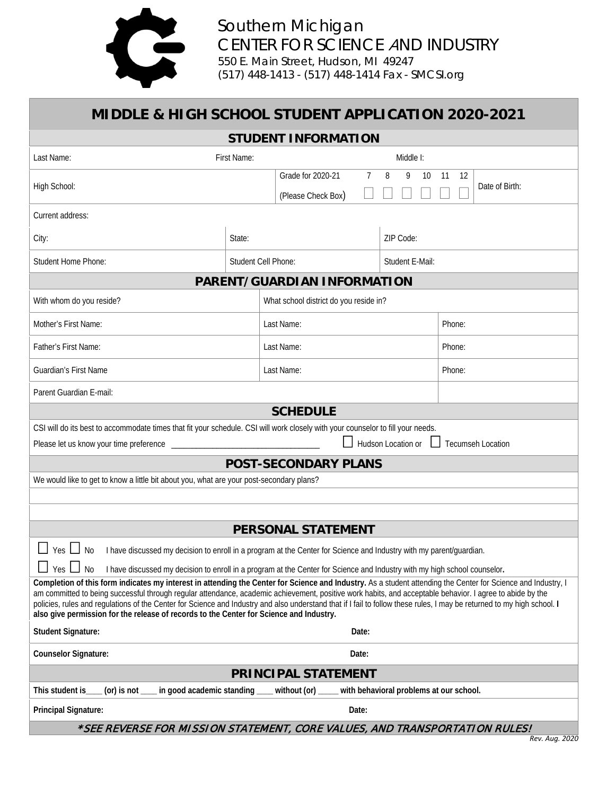

| MIDDLE & HIGH SCHOOL STUDENT APPLICATION 2020-2021                                                                                                                                                                                                                                                                                                                                                                                                                                                                                                                                               |                     |                                         |                |                 |                            |
|--------------------------------------------------------------------------------------------------------------------------------------------------------------------------------------------------------------------------------------------------------------------------------------------------------------------------------------------------------------------------------------------------------------------------------------------------------------------------------------------------------------------------------------------------------------------------------------------------|---------------------|-----------------------------------------|----------------|-----------------|----------------------------|
| <b>STUDENT INFORMATION</b>                                                                                                                                                                                                                                                                                                                                                                                                                                                                                                                                                                       |                     |                                         |                |                 |                            |
| First Name:<br>Last Name:                                                                                                                                                                                                                                                                                                                                                                                                                                                                                                                                                                        | Middle I:           |                                         |                |                 |                            |
| High School:                                                                                                                                                                                                                                                                                                                                                                                                                                                                                                                                                                                     |                     | Grade for 2020-21<br>(Please Check Box) | $\overline{7}$ | 8<br>9<br>10    | 11<br>12<br>Date of Birth: |
| Current address:                                                                                                                                                                                                                                                                                                                                                                                                                                                                                                                                                                                 |                     |                                         |                |                 |                            |
| City:                                                                                                                                                                                                                                                                                                                                                                                                                                                                                                                                                                                            | State:              |                                         |                | ZIP Code:       |                            |
| <b>Student Home Phone:</b>                                                                                                                                                                                                                                                                                                                                                                                                                                                                                                                                                                       | Student Cell Phone: |                                         |                | Student E-Mail: |                            |
| PARENT/GUARDIAN INFORMATION                                                                                                                                                                                                                                                                                                                                                                                                                                                                                                                                                                      |                     |                                         |                |                 |                            |
| With whom do you reside?<br>What school district do you reside in?                                                                                                                                                                                                                                                                                                                                                                                                                                                                                                                               |                     |                                         |                |                 |                            |
| Mother's First Name:                                                                                                                                                                                                                                                                                                                                                                                                                                                                                                                                                                             |                     | Last Name:                              |                |                 | Phone:                     |
| Father's First Name:                                                                                                                                                                                                                                                                                                                                                                                                                                                                                                                                                                             |                     | Last Name:                              |                | Phone:          |                            |
| <b>Guardian's First Name</b>                                                                                                                                                                                                                                                                                                                                                                                                                                                                                                                                                                     |                     | Last Name:                              |                | Phone:          |                            |
| Parent Guardian E-mail:                                                                                                                                                                                                                                                                                                                                                                                                                                                                                                                                                                          |                     |                                         |                |                 |                            |
| <b>SCHEDULE</b>                                                                                                                                                                                                                                                                                                                                                                                                                                                                                                                                                                                  |                     |                                         |                |                 |                            |
| CSI will do its best to accommodate times that fit your schedule. CSI will work closely with your counselor to fill your needs.<br>Hudson Location or<br><b>Tecumseh Location</b><br>Please let us know your time preference                                                                                                                                                                                                                                                                                                                                                                     |                     |                                         |                |                 |                            |
| <b>POST-SECONDARY PLANS</b>                                                                                                                                                                                                                                                                                                                                                                                                                                                                                                                                                                      |                     |                                         |                |                 |                            |
| We would like to get to know a little bit about you, what are your post-secondary plans?                                                                                                                                                                                                                                                                                                                                                                                                                                                                                                         |                     |                                         |                |                 |                            |
|                                                                                                                                                                                                                                                                                                                                                                                                                                                                                                                                                                                                  |                     |                                         |                |                 |                            |
| <b>PERSONAL STATEMENT</b>                                                                                                                                                                                                                                                                                                                                                                                                                                                                                                                                                                        |                     |                                         |                |                 |                            |
| Yes $\Box$<br>I have discussed my decision to enroll in a program at the Center for Science and Industry with my parent/guardian.<br><b>No</b><br>Yes  <br>I have discussed my decision to enroll in a program at the Center for Science and Industry with my high school counselor.<br>No                                                                                                                                                                                                                                                                                                       |                     |                                         |                |                 |                            |
| Completion of this form indicates my interest in attending the Center for Science and Industry. As a student attending the Center for Science and Industry, I<br>am committed to being successful through regular attendance, academic achievement, positive work habits, and acceptable behavior. I agree to abide by the<br>policies, rules and regulations of the Center for Science and Industry and also understand that if I fail to follow these rules, I may be returned to my high school. I<br>also give permission for the release of records to the Center for Science and Industry. |                     |                                         |                |                 |                            |
| <b>Student Signature:</b>                                                                                                                                                                                                                                                                                                                                                                                                                                                                                                                                                                        | Date:               |                                         |                |                 |                            |
| <b>Counselor Signature:</b><br>Date:                                                                                                                                                                                                                                                                                                                                                                                                                                                                                                                                                             |                     |                                         |                |                 |                            |
| <b>PRINCIPAL STATEMENT</b>                                                                                                                                                                                                                                                                                                                                                                                                                                                                                                                                                                       |                     |                                         |                |                 |                            |
| in good academic standing<br>without (or)<br>with behavioral problems at our school.<br>This student is<br>(or) is not $\_$                                                                                                                                                                                                                                                                                                                                                                                                                                                                      |                     |                                         |                |                 |                            |
| Date:<br><b>Principal Signature:</b>                                                                                                                                                                                                                                                                                                                                                                                                                                                                                                                                                             |                     |                                         |                |                 |                            |
| *SEE REVERSE FOR MISSION STATEMENT, CORE VALUES, AND TRANSPORTATION RULES!                                                                                                                                                                                                                                                                                                                                                                                                                                                                                                                       |                     |                                         |                |                 |                            |